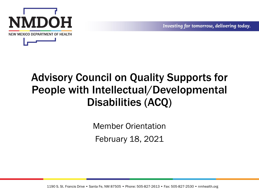

#### Advisory Council on Quality Supports for People with Intellectual/Developmental Disabilities (ACQ)

Member Orientation February 18, 2021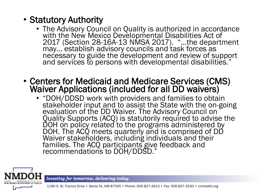#### • Statutory Authority

- The Advisory Council on Quality is authorized in accordance with the New Mexico Developmental Disabilities Act of 2017 (Section 28-16A-13 NMSA 2017). "…the department may... establish advisory councils and task forces as necessary to guide the development and review of support and services to persons with developmental disabilities."
- Centers for Medicaid and Medicare Services (CMS) Waiver Applications (included for all DD waivers)
	- "DOH/DDSD work with providers and families to obtain stakeholder input and to assist the State with the on-going evaluation of the DD Waiver. The Advisory Council on Quality Supports (ACQ) is statutorily required to advise the DOH on policy related to the programs administered by DOH. The ACQ meets quarterly and is comprised of DD Waiver stakeholders, including individuals and their families. The ACQ participants give feedback and recommendations to DOH/DDSD."



Investing for tomorrow, delivering today.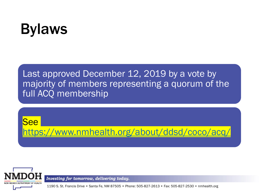#### Bylaws

Last approved December 12, 2019 by a vote by majority of members representing a quorum of the full ACQ membership





Investing for tomorrow, delivering today.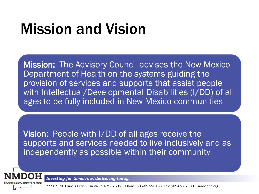#### Mission and Vision

Mission: The Advisory Council advises the New Mexico Department of Health on the systems guiding the provision of services and supports that assist people with Intellectual/Developmental Disabilities (I/DD) of all ages to be fully included in New Mexico communities

Vision: People with I/DD of all ages receive the supports and services needed to live inclusively and as independently as possible within their community



Investing for tomorrow, delivering today.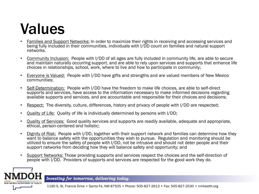#### Values

- Families and Support Networks: In order to maximize their rights in receiving and accessing services and being fully included in their communities, individuals with I/DD count on families and natural support networks.
- Community Inclusion: People with I/DD of all ages are fully included in community life, are able to secure and maintain naturally occurring support, and are able to rely upon services and supports that enhance life choices in relationships, school, work, where to live and how to participate in community;
- Everyone is Valued: People with I/DD have gifts and strengths and are valued members of New Mexico communities;
- Self-Determination: People with I/DD have the freedom to make life choices, are able to self-direct supports and services, have access to the information necessary to make informed decisions regarding available supports and services, and are accountable and responsible for their choices and decisions;
- Respect: The diversity, culture, differences, history and privacy of people with I/DD are respected;
- Quality of Life: Quality of life is individually determined by persons with I/DD;
- Quality of Services: Good quality services and supports are readily available, adequate and appropriate, ethical, person-centered and holistic;
- Dignity of Risk: People with I/DD, together with their support network and families can determine how they want to balance safety with the opportunities they wish to pursue. Regulation and monitoring should be utilized to ensure the safety of people with I/DD, not be intrusive and should not deter people and their support networks from deciding how they will balance safety and opportunity; and
- Support Networks: Those providing supports and services respect the choices and the self-direction of people with I/DD. Providers of supports and services are respected for the good work they do.

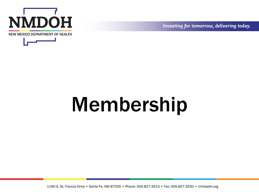



# Membership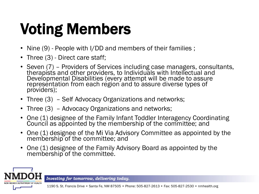# Voting Members

- Nine (9) People with I/DD and members of their families ;
- Three (3) Direct care staff;
- Seven (7) Providers of Services including case managers, consultants, therapists and other providers, to Individuals with Intellectual and Developmental Disabilities (every attempt will be made to assure representation from each region and to assure diverse types of providers);
- Three (3) Self Advocacy Organizations and networks;
- Three (3) Advocacy Organizations and networks;
- One (1) designee of the Family Infant Toddler Interagency Coordinating Council as appointed by the membership of the committee; and
- One (1) designee of the Mi Via Advisory Committee as appointed by the membership of the committee; and
- One (1) designee of the Family Advisory Board as appointed by the membership of the committee.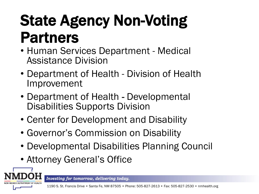#### State Agency Non-Voting Partners

- Human Services Department Medical Assistance Division
- Department of Health Division of Health Improvement
- Department of Health Developmental Disabilities Supports Division
- Center for Development and Disability
- Governor's Commission on Disability
- Developmental Disabilities Planning Council
- Attorney General's Office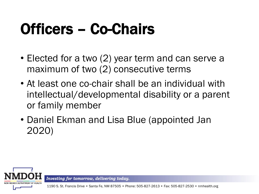## Officers – Co-Chairs

- Elected for a two (2) year term and can serve a maximum of two (2) consecutive terms
- At least one co-chair shall be an individual with intellectual/developmental disability or a parent or family member
- Daniel Ekman and Lisa Blue (appointed Jan 2020)



Investing for tomorrow, delivering today.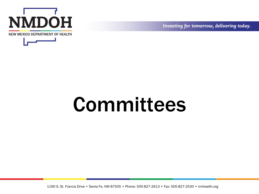



# Committees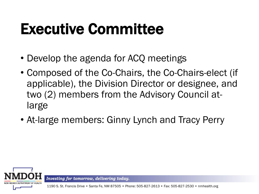#### Executive Committee

- Develop the agenda for ACQ meetings
- Composed of the Co-Chairs, the Co-Chairs-elect (if applicable), the Division Director or designee, and two (2) members from the Advisory Council atlarge
- At-large members: Ginny Lynch and Tracy Perry



Investing for tomorrow, delivering today.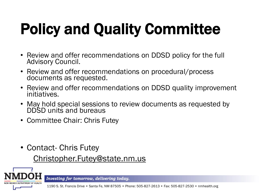# Policy and Quality Committee

- Review and offer recommendations on DDSD policy for the full Advisory Council.
- Review and offer recommendations on procedural/process documents as requested.
- Review and offer recommendations on DDSD quality improvement initiatives.
- May hold special sessions to review documents as requested by DDSD units and bureaus
- Committee Chair: Chris Futey
- Contact- Chris Futey Christopher.Futey@state.nm.us

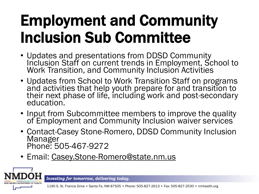#### Employment and Community Inclusion Sub Committee

- Updates and presentations from DDSD Community Inclusion Staff on current trends in Employment, School to Work Transition, and Community Inclusion Activities
- Updates from School to Work Transition Staff on programs and activities that help youth prepare for and transition to their next phase of life, including work and post-secondary education.
- Input from Subcommittee members to improve the quality of Employment and Community Inclusion waiver services
- Contact-Casey Stone-Romero, DDSD Community Inclusion Manager Phone: 505-467-9272
- Email: [Casey.Stone-Romero@state.nm.us](about:blank)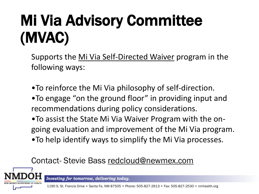## Mi Via Advisory Committee (MVAC)

Supports the [Mi Via Self-Directed Waiver](about:blank) program in the following ways:

•To reinforce the Mi Via philosophy of self-direction.

- •To engage "on the ground floor" in providing input and recommendations during policy considerations.
- •To assist the State Mi Via Waiver Program with the ongoing evaluation and improvement of the Mi Via program. •To help identify ways to simplify the Mi Via processes.

#### Contact- Stevie Bass redcloud@newmex.com



Investing for tomorrow, delivering today.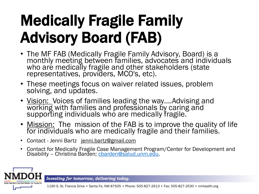## Medically Fragile Family Advisory Board (FAB)

- The MF FAB (Medically Fragile Family Advisory, Board) is a monthly meeting between families, advocates and individuals who are medically fragile and other stakeholders (state representatives, providers, MCO's, etc).
- These meetings focus on waiver related issues, problem solving, and updates.
- Vision: Voices of families leading the way....Advising and working with families and professionals by caring and supporting individuals who are medically fragile.
- Mission: The mission of the FAB is to improve the quality of life for individuals who are medically fragile and their families.
- Contact Jenni Bartz [jenni.bartz@gmail.com](about:blank)
- Contact for Medically Fragile Case Management Program/Center for Development and Disability - Christina Barden; charden@salud.unm.edu.

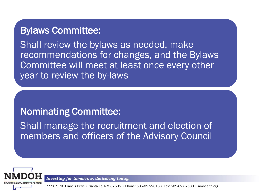#### Bylaws Committee:

Shall review the bylaws as needed, make recommendations for changes, and the Bylaws Committee will meet at least once every other year to review the by-laws

#### Nominating Committee:

Shall manage the recruitment and election of members and officers of the Advisory Council



Investing for tomorrow, delivering today.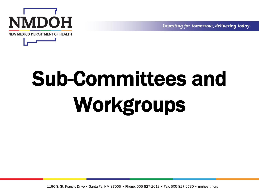

# Sub-Committees and Workgroups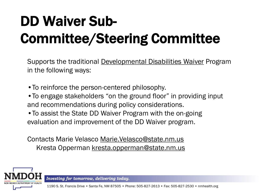#### DD Waiver Sub-Committee/Steering Committee

Supports the traditional [Developmental Disabilities Waiver](about:blank) Program in the following ways:

- •To reinforce the person-centered philosophy.
- •To engage stakeholders "on the ground floor" in providing input and recommendations during policy considerations.
- •To assist the State DD Waiver Program with the on-going evaluation and improvement of the DD Waiver program.

Contacts Marie Velasco [Marie.Velasco@state.nm.us](about:blank) Kresta Opperman kresta.opperman@state.nm.us

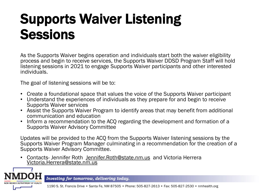#### Supports Waiver Listening **Sessions**

As the Supports Waiver begins operation and individuals start both the waiver eligibility process and begin to receive services, the Supports Waiver DDSD Program Staff will hold listening sessions in 2021 to engage Supports Waiver participants and other interested individuals.

The goal of listening sessions will be to:

- Create a foundational space that values the voice of the Supports Waiver participant
- Understand the experiences of individuals as they prepare for and begin to receive Supports Waiver services
- Assist the Supports Waiver Program to identify areas that may benefit from additional communication and education
- Inform a recommendation to the ACQ regarding the development and formation of a Supports Waiver Advisory Committee

Updates will be provided to the ACQ from the Supports Waiver listening sessions by the Supports Waiver Program Manager culminating in a recommendation for the creation of a Supports Waiver Advisory Committee.

• Contacts- Jennifer Roth [Jennifer.Roth@state.nm.us](about:blank) and Victoria Herrera Victoria.Herrera@state.nm.us

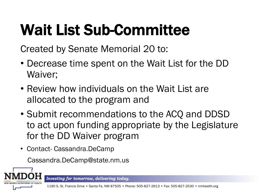# Wait List Sub-Committee

Created by Senate Memorial 20 to:

- Decrease time spent on the Wait List for the DD Waiver;
- Review how individuals on the Wait List are allocated to the program and
- Submit recommendations to the ACQ and DDSD to act upon funding appropriate by the Legislature for the DD Waiver program
- Contact- Cassandra.DeCamp

Cassandra.DeCamp@state.nm.us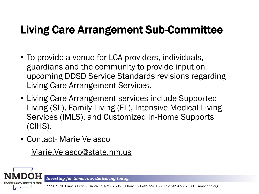#### Living Care Arrangement Sub-Committee

- To provide a venue for LCA providers, individuals, guardians and the community to provide input on upcoming DDSD Service Standards revisions regarding Living Care Arrangement Services.
- Living Care Arrangement services include Supported Living (SL), Family Living (FL), Intensive Medical Living Services (IMLS), and Customized In-Home Supports (CIHS).
- Contact- Marie Velasco

Marie.Velasco@state.nm.us

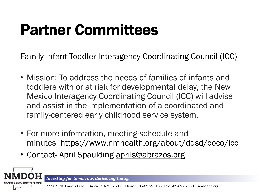## Partner Committees

Family Infant Toddler Interagency Coordinating Council (ICC)

- Mission: To address the needs of families of infants and toddlers with or at risk for developmental delay, the New Mexico Interagency Coordinating Council (ICC) will advise and assist in the implementation of a coordinated and family-centered early childhood service system.
- For more information, meeting schedule and minutes https://www.nmhealth.org/about/ddsd/coco/icc
- Contact- April Spaulding aprils@abrazos.org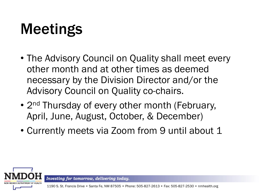#### Meetings

- The Advisory Council on Quality shall meet every other month and at other times as deemed necessary by the Division Director and/or the Advisory Council on Quality co-chairs.
- 2<sup>nd</sup> Thursday of every other month (February, April, June, August, October, & December)
- Currently meets via Zoom from 9 until about 1



Investing for tomorrow, delivering today.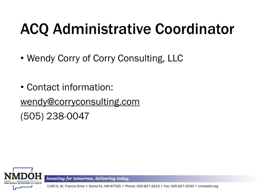#### ACQ Administrative Coordinator

- Wendy Corry of Corry Consulting, LLC
- Contact information: [wendy@corryconsulting.com](about:blank) (505) 238-0047



Investing for tomorrow, delivering today.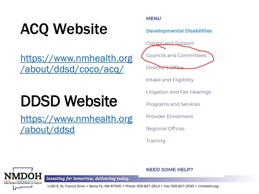## ACQ Website

https://www.nmhealth.org [/about/ddsd/coco/acq/](about:blank)

#### DDSD Website

[https://www.nmhealth.org](about:blank) /about/ddsd

#### **MENU**

**Developmental Disabilities** 



Intake and Eligibility

**Litigation and Fair Hearings** 

**Programs and Services** 

**Provider Enrollment** 

**Regional Offices** 

**Training** 

#### **NEED SOME HELP?**

NEW MEXICO DEPARTMENT OF HEALTH

Investing for tomorrow, delivering today.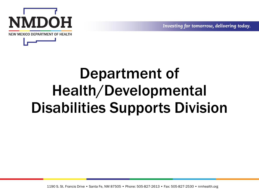

#### Department of Health/Developmental Disabilities Supports Division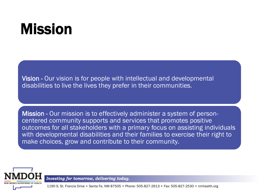#### Mission

Vision - Our vision is for people with intellectual and developmental disabilities to live the lives they prefer in their communities.

Mission - Our mission is to effectively administer a system of personcentered community supports and services that promotes positive outcomes for all stakeholders with a primary focus on assisting individuals with developmental disabilities and their families to exercise their right to make choices, grow and contribute to their community.



Investing for tomorrow, delivering today.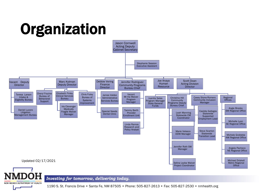

**NEW MEXICO DEPARTMENT OF HEALTH**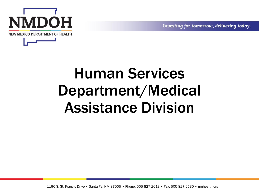

#### Human Services Department/Medical Assistance Division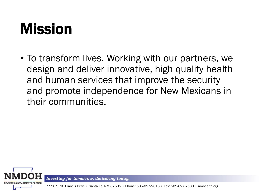#### Mission

• To transform lives. Working with our partners, we design and deliver innovative, high quality health and human services that improve the security and promote independence for New Mexicans in their communities.



Investing for tomorrow, delivering today.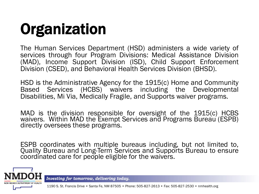# **Organization**

The Human Services Department (HSD) administers a wide variety of services through four Program Divisions: Medical Assistance Division (MAD), Income Support Division (ISD), Child Support Enforcement Division (CSED), and Behavioral Health Services Division (BHSD).

HSD is the Administrative Agency for the 1915(c) Home and Community Based Services (HCBS) waivers including the Developmental Disabilities, Mi Via, Medically Fragile, and Supports waiver programs.

MAD is the division responsible for oversight of the 1915(c) HCBS waivers. Within MAD the Exempt Services and Programs Bureau (ESPB) directly oversees these programs.

ESPB coordinates with multiple bureaus including, but not limited to, Quality Bureau and Long-Term Services and Supports Bureau to ensure coordinated care for people eligible for the waivers.

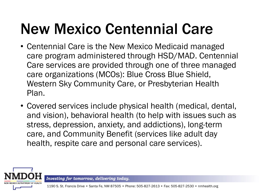#### New Mexico Centennial Care

- Centennial Care is the New Mexico Medicaid managed care program administered through HSD/MAD. Centennial Care services are provided through one of three managed care organizations (MCOs): Blue Cross Blue Shield, Western Sky Community Care, or Presbyterian Health Plan.
- Covered services include physical health (medical, dental, and vision), behavioral health (to help with issues such as stress, depression, anxiety, and addictions), long-term care, and Community Benefit (services like adult day health, respite care and personal care services).

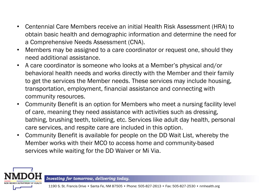- Centennial Care Members receive an initial Health Risk Assessment (HRA) to obtain basic health and demographic information and determine the need for a Comprehensive Needs Assessment (CNA).
- Members may be assigned to a care coordinator or request one, should they need additional assistance.
- A care coordinator is someone who looks at a Member's physical and/or behavioral health needs and works directly with the Member and their family to get the services the Member needs. These services may include housing, transportation, employment, financial assistance and connecting with community resources.
- Community Benefit is an option for Members who meet a nursing facility level of care, meaning they need assistance with activities such as dressing, bathing, brushing teeth, toileting, etc. Services like adult day health, personal care services, and respite care are included in this option.
- Community Benefit is available for people on the DD Wait List, whereby the Member works with their MCO to access home and community-based services while waiting for the DD Waiver or Mi Via.

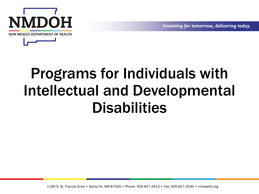

#### Programs for Individuals with Intellectual and Developmental **Disabilities**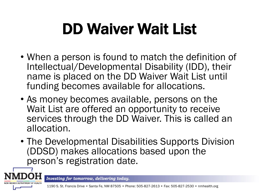## DD Waiver Wait List

- When a person is found to match the definition of Intellectual/Developmental Disability (IDD), their name is placed on the DD Waiver Wait List until funding becomes available for allocations.
- As money becomes available, persons on the Wait List are offered an opportunity to receive services through the DD Waiver. This is called an allocation.
- The Developmental Disabilities Supports Division (DDSD) makes allocations based upon the person's registration date.



Investing for tomorrow, delivering today.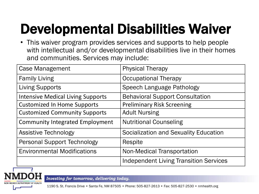#### Developmental Disabilities Waiver

• This waiver program provides services and supports to help people with intellectual and/or developmental disabilities live in their homes and communities. Services may include:

| <b>Case Management</b>                   | <b>Physical Therapy</b>                       |
|------------------------------------------|-----------------------------------------------|
| <b>Family Living</b>                     | <b>Occupational Therapy</b>                   |
| <b>Living Supports</b>                   | Speech Language Pathology                     |
| <b>Intensive Medical Living Supports</b> | <b>Behavioral Support Consultation</b>        |
| <b>Customized In Home Supports</b>       | <b>Preliminary Risk Screening</b>             |
| <b>Customized Community Supports</b>     | <b>Adult Nursing</b>                          |
| <b>Community Integrated Employment</b>   | <b>Nutritional Counseling</b>                 |
| <b>Assistive Technology</b>              | Socialization and Sexuality Education         |
| <b>Personal Support Technology</b>       | Respite                                       |
| <b>Environmental Modifications</b>       | <b>Non-Medical Transportation</b>             |
|                                          | <b>Independent Living Transition Services</b> |

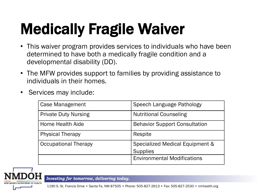# Medically Fragile Waiver

- This waiver program provides services to individuals who have been determined to have both a medically fragile condition and a developmental disability (DD).
- The MFW provides support to families by providing assistance to individuals in their homes.
- Services may include:

| Case Management             | Speech Language Pathology                          |
|-----------------------------|----------------------------------------------------|
| <b>Private Duty Nursing</b> | <b>Nutritional Counseling</b>                      |
| Home Health Aide            | <b>Behavior Support Consultation</b>               |
| <b>Physical Therapy</b>     | Respite                                            |
| <b>Occupational Therapy</b> | Specialized Medical Equipment &<br><b>Supplies</b> |
|                             | <b>Environmental Modifications</b>                 |



Investing for tomorrow, delivering today.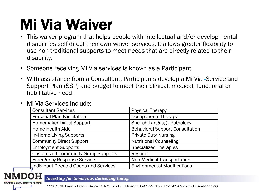#### Mi Via Waiver

- This waiver program that helps people with intellectual and/or developmental disabilities self-direct their own waiver services. It allows greater flexibility to use non-traditional supports to meet needs that are directly related to their disability.
- Someone receiving Mi Via services is known as a Participant.
- With assistance from a Consultant, Participants develop a Mi Via -Service and Support Plan (SSP) and budget to meet their clinical, medical, functional or habilitative need.

| <b>Consultant Services</b>                 | <b>Physical Therapy</b>                |
|--------------------------------------------|----------------------------------------|
| <b>Personal Plan Facilitation</b>          | <b>Occupational Therapy</b>            |
| Homemaker Direct Support                   | Speech Language Pathology              |
| Home Health Aide                           | <b>Behavioral Support Consultation</b> |
| In-Home Living Supports                    | <b>Private Duty Nursing</b>            |
| <b>Community Direct Support</b>            | <b>Nutritional Counseling</b>          |
| <b>Employment Supports</b>                 | <b>Specialized Therapies</b>           |
| <b>Customized Community Group Supports</b> | Respite                                |
| <b>Emergency Response Services</b>         | <b>Non-Medical Transportation</b>      |
| Individual Directed Goods and Services     | <b>Environmental Modifications</b>     |

• Mi Via Services Include:

Investing for tomorrow, delivering today.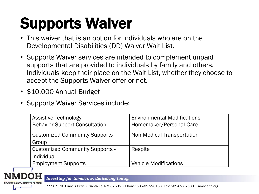## Supports Waiver

- This waiver that is an option for individuals who are on the Developmental Disabilities (DD) Waiver Wait List.
- Supports Waiver services are intended to complement unpaid supports that are provided to individuals by family and others. Individuals keep their place on the Wait List, whether they choose to accept the Supports Waiver offer or not.
- \$10,000 Annual Budget
- Supports Waiver Services include:

| <b>Assistive Technology</b>            | <b>Environmental Modifications</b> |
|----------------------------------------|------------------------------------|
| <b>Behavior Support Consultation</b>   | Homemaker/Personal Care            |
| <b>Customized Community Supports -</b> | Non-Medical Transportation         |
| Group                                  |                                    |
| <b>Customized Community Supports -</b> | Respite                            |
| Individual                             |                                    |
| <b>Employment Supports</b>             | <b>Vehicle Modifications</b>       |

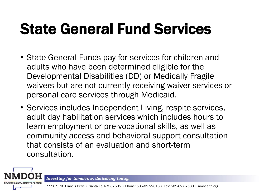## State General Fund Services

- State General Funds pay for services for children and adults who have been determined eligible for the Developmental Disabilities (DD) or Medically Fragile waivers but are not currently receiving waiver services or personal care services through Medicaid.
- Services includes Independent Living, respite services, adult day habilitation services which includes hours to learn employment or pre-vocational skills, as well as community access and behavioral support consultation that consists of an evaluation and short-term consultation.

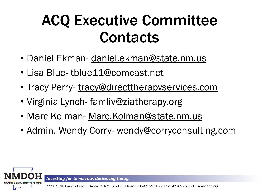#### ACQ Executive Committee **Contacts**

- Daniel Ekman- daniel.ekman@state.nm.us
- Lisa Blue- tblue11@comcast.net
- Tracy Perry- tracy@directtherapyservices.com
- Virginia Lynch- famliv@ziatherapy.org
- Marc Kolman- Marc.Kolman@state.nm.us
- Admin. Wendy Corry- wendy@corryconsulting.com



Investing for tomorrow, delivering today.